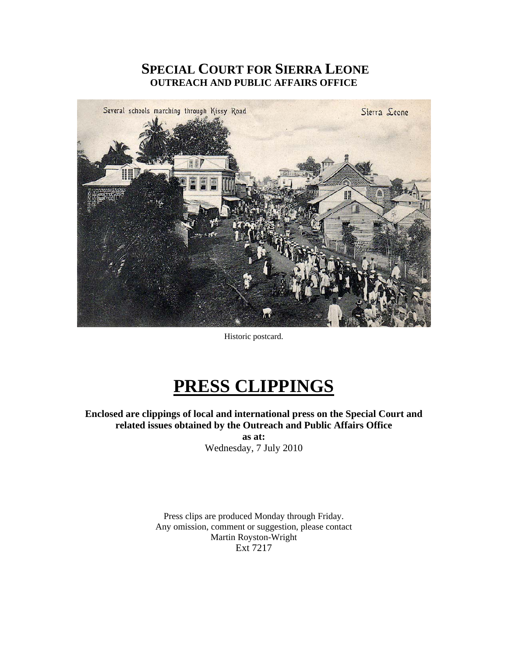# **SPECIAL COURT FOR SIERRA LEONE OUTREACH AND PUBLIC AFFAIRS OFFICE**



Historic postcard.

# **PRESS CLIPPINGS**

**Enclosed are clippings of local and international press on the Special Court and related issues obtained by the Outreach and Public Affairs Office** 

**as at:**  Wednesday, 7 July 2010

Press clips are produced Monday through Friday. Any omission, comment or suggestion, please contact Martin Royston-Wright Ext 7217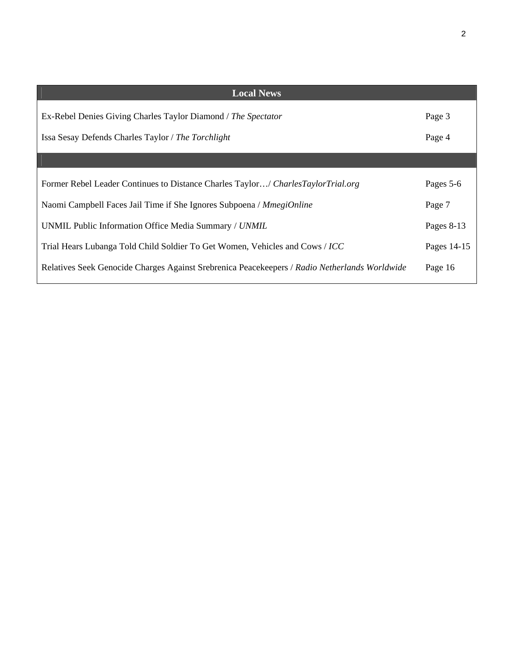| <b>Local News</b>                                                                             |              |
|-----------------------------------------------------------------------------------------------|--------------|
| Ex-Rebel Denies Giving Charles Taylor Diamond / The Spectator                                 | Page 3       |
| Issa Sesay Defends Charles Taylor / The Torchlight                                            | Page 4       |
|                                                                                               |              |
| Former Rebel Leader Continues to Distance Charles Taylor/ Charles Taylor Trial.org            | Pages 5-6    |
| Naomi Campbell Faces Jail Time if She Ignores Subpoena / MmegiOnline                          | Page 7       |
| UNMIL Public Information Office Media Summary / UNMIL                                         | Pages $8-13$ |
| Trial Hears Lubanga Told Child Soldier To Get Women, Vehicles and Cows / ICC                  | Pages 14-15  |
| Relatives Seek Genocide Charges Against Srebrenica Peacekeepers / Radio Netherlands Worldwide | Page 16      |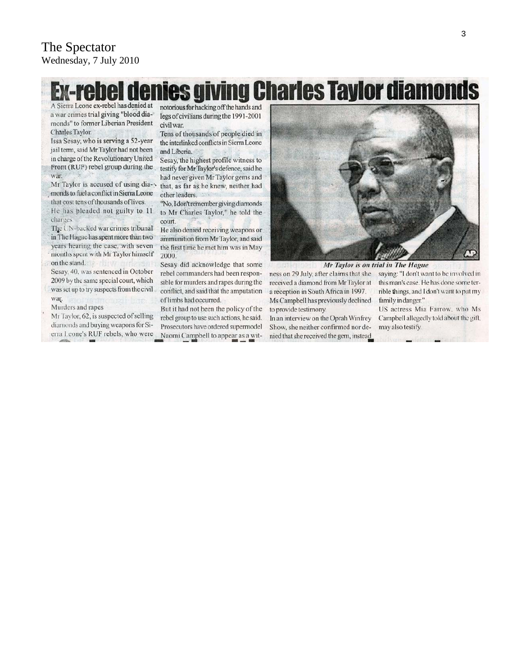# **Ex-rebel denies giving Charles Taylor diamonds**

A Sierra Leone ex-rebel has denied at a war crimes trial giving "blood diamonds" to former Liberian President Charles Taylor.

Issa Sesay, who is serving a 52-year jail term, said Mr Taylor had not been in charge of the Revolutionary United Front (RUF) rebel group during the war

Mr Taylor is accused of using diamonds to fuel a conflict in Sierra Leone that cost tens of thousands of lives.

He has pleaded not guilty to 11 charges

The UN-backed war crimes tribunal in The Hague has spent more than two years hearing the case, with seven months spent with Mr Taylor himself on the stand.

Sesay, 40, was sentenced in October 2009 by the same special court, which was set up to try suspects from the civil war.

Murders and rapes

Mr Taylor, 62, is suspected of selling diamonds and buying weapons for Sierra Leone's RUF rebels, who were notorious for hacking off the hands and legs of civilians during the 1991-2001 civil war.

Tens of thousands of people died in the interlinked conflicts in Sierra Leone and Liberia.

Sesay, the highest profile witness to testify for Mr Taylor's defence, said he had never given Mr Taylor gems and that, as far as he knew, neither had other leaders.

"No, I don't remember giving diamonds to Mr Charles Taylor," he told the court.

He also denied receiving weapons or ammunition from Mr Taylor, and said the first time he met him was in May 2000.

Sesay did acknowledge that some rebel commanders had been responsible for murders and rapes during the conflict, and said that the amputation of limbs had occurred.

But it had not been the policy of the rebel group to use such actions, he said. Prosecutors have ordered supermodel Naomi Campbell to appear as a wit-



Mr Taylor is on trial in The Hague

ness on 29 July, after claims that she received a diamond from Mr Taylor at a reception in South Africa in 1997. Ms Campbell has previously declined to provide testimony.

In an interview on the Oprah Winfrey Show, she neither confirmed nor denied that she received the gem, instead saying: "I don't want to be involved in this man's case. He has done some terrible things, and I don't want to put my family in danger."

US actress Mia Farrow, who Ms Campbell allegedly told about the gift, may also testify.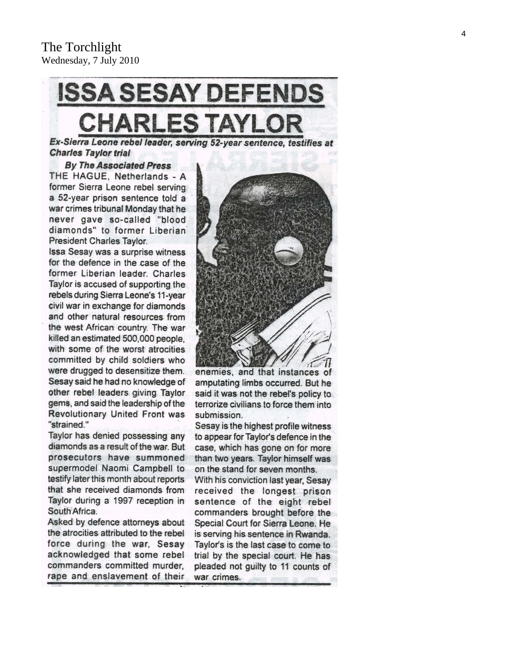# **ISSA SESAY DEFENDS CHARLES TAYLO**

Ex-Sierra Leone rebel leader, serving 52-year sentence, testifies at **Charles Taylor trial** 

#### **By The Associated Press**

THE HAGUE, Netherlands - A former Sierra Leone rebel serving a 52-year prison sentence told a war crimes tribunal Monday that he never gave so-called "blood diamonds" to former Liberian President Charles Taylor.

Issa Sesay was a surprise witness for the defence in the case of the former Liberian leader. Charles Taylor is accused of supporting the rebels during Sierra Leone's 11-year civil war in exchange for diamonds and other natural resources from the west African country. The war killed an estimated 500,000 people. with some of the worst atrocities committed by child soldiers who were drugged to desensitize them. Sesay said he had no knowledge of other rebel leaders giving Taylor gems, and said the leadership of the Revolutionary United Front was "strained."

Taylor has denied possessing any diamonds as a result of the war. But prosecutors have summoned supermodel Naomi Campbell to testify later this month about reports that she received diamonds from Taylor during a 1997 reception in South Africa.

Asked by defence attorneys about the atrocities attributed to the rebel force during the war, Sesay acknowledged that some rebel commanders committed murder. rape and enslavement of their



enemies, and that instances of amputating limbs occurred. But he said it was not the rebel's policy to terrorize civilians to force them into submission.

Sesay is the highest profile witness to appear for Taylor's defence in the case, which has gone on for more than two years. Taylor himself was on the stand for seven months.

With his conviction last year, Sesay received the longest prison sentence of the eight rebel commanders brought before the Special Court for Sierra Leone. He is serving his sentence in Rwanda. Taylor's is the last case to come to trial by the special court. He has pleaded not guilty to 11 counts of war crimes.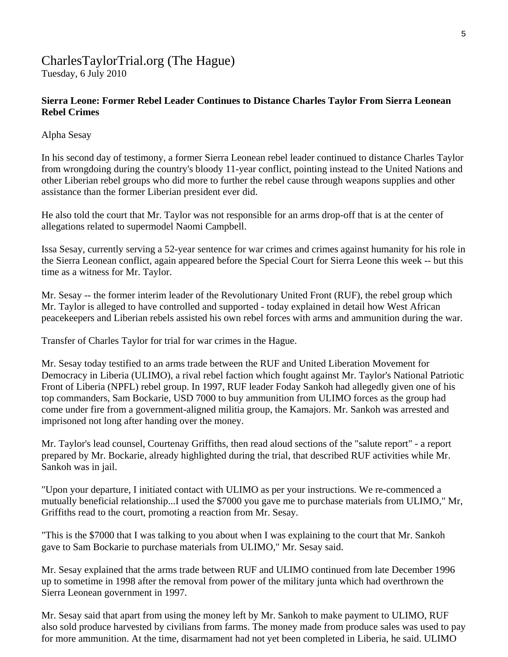# CharlesTaylorTrial.org (The Hague) Tuesday, 6 July 2010

# **Sierra Leone: Former Rebel Leader Continues to Distance Charles Taylor From Sierra Leonean Rebel Crimes**

Alpha Sesay

In his second day of testimony, a former Sierra Leonean rebel leader continued to distance Charles Taylor from wrongdoing during the country's bloody 11-year conflict, pointing instead to the United Nations and other Liberian rebel groups who did more to further the rebel cause through weapons supplies and other assistance than the former Liberian president ever did.

He also told the court that Mr. Taylor was not responsible for an arms drop-off that is at the center of allegations related to supermodel Naomi Campbell.

Issa Sesay, currently serving a 52-year sentence for war crimes and crimes against humanity for his role in the Sierra Leonean conflict, again appeared before the Special Court for Sierra Leone this week -- but this time as a witness for Mr. Taylor.

Mr. Sesay -- the former interim leader of the Revolutionary United Front (RUF), the rebel group which Mr. Taylor is alleged to have controlled and supported - today explained in detail how West African peacekeepers and Liberian rebels assisted his own rebel forces with arms and ammunition during the war.

Transfer of Charles Taylor for trial for war crimes in the Hague.

Mr. Sesay today testified to an arms trade between the RUF and United Liberation Movement for Democracy in Liberia (ULIMO), a rival rebel faction which fought against Mr. Taylor's National Patriotic Front of Liberia (NPFL) rebel group. In 1997, RUF leader Foday Sankoh had allegedly given one of his top commanders, Sam Bockarie, USD 7000 to buy ammunition from ULIMO forces as the group had come under fire from a government-aligned militia group, the Kamajors. Mr. Sankoh was arrested and imprisoned not long after handing over the money.

Mr. Taylor's lead counsel, Courtenay Griffiths, then read aloud sections of the "salute report" - a report prepared by Mr. Bockarie, already highlighted during the trial, that described RUF activities while Mr. Sankoh was in jail.

"Upon your departure, I initiated contact with ULIMO as per your instructions. We re-commenced a mutually beneficial relationship...I used the \$7000 you gave me to purchase materials from ULIMO," Mr, Griffiths read to the court, promoting a reaction from Mr. Sesay.

"This is the \$7000 that I was talking to you about when I was explaining to the court that Mr. Sankoh gave to Sam Bockarie to purchase materials from ULIMO," Mr. Sesay said.

Mr. Sesay explained that the arms trade between RUF and ULIMO continued from late December 1996 up to sometime in 1998 after the removal from power of the military junta which had overthrown the Sierra Leonean government in 1997.

Mr. Sesay said that apart from using the money left by Mr. Sankoh to make payment to ULIMO, RUF also sold produce harvested by civilians from farms. The money made from produce sales was used to pay for more ammunition. At the time, disarmament had not yet been completed in Liberia, he said. ULIMO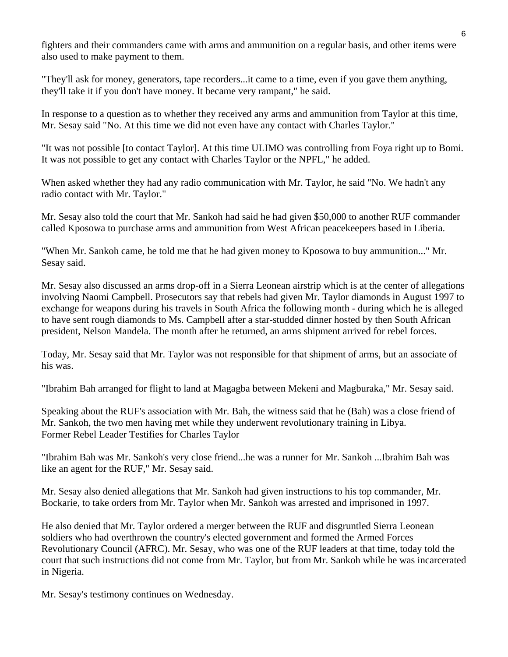fighters and their commanders came with arms and ammunition on a regular basis, and other items were also used to make payment to them.

"They'll ask for money, generators, tape recorders...it came to a time, even if you gave them anything, they'll take it if you don't have money. It became very rampant," he said.

In response to a question as to whether they received any arms and ammunition from Taylor at this time, Mr. Sesay said "No. At this time we did not even have any contact with Charles Taylor."

"It was not possible [to contact Taylor]. At this time ULIMO was controlling from Foya right up to Bomi. It was not possible to get any contact with Charles Taylor or the NPFL," he added.

When asked whether they had any radio communication with Mr. Taylor, he said "No. We hadn't any radio contact with Mr. Taylor."

Mr. Sesay also told the court that Mr. Sankoh had said he had given \$50,000 to another RUF commander called Kposowa to purchase arms and ammunition from West African peacekeepers based in Liberia.

"When Mr. Sankoh came, he told me that he had given money to Kposowa to buy ammunition..." Mr. Sesay said.

Mr. Sesay also discussed an arms drop-off in a Sierra Leonean airstrip which is at the center of allegations involving Naomi Campbell. Prosecutors say that rebels had given Mr. Taylor diamonds in August 1997 to exchange for weapons during his travels in South Africa the following month - during which he is alleged to have sent rough diamonds to Ms. Campbell after a star-studded dinner hosted by then South African president, Nelson Mandela. The month after he returned, an arms shipment arrived for rebel forces.

Today, Mr. Sesay said that Mr. Taylor was not responsible for that shipment of arms, but an associate of his was.

"Ibrahim Bah arranged for flight to land at Magagba between Mekeni and Magburaka," Mr. Sesay said.

Speaking about the RUF's association with Mr. Bah, the witness said that he (Bah) was a close friend of Mr. Sankoh, the two men having met while they underwent revolutionary training in Libya. Former Rebel Leader Testifies for Charles Taylor

"Ibrahim Bah was Mr. Sankoh's very close friend...he was a runner for Mr. Sankoh ...Ibrahim Bah was like an agent for the RUF," Mr. Sesay said.

Mr. Sesay also denied allegations that Mr. Sankoh had given instructions to his top commander, Mr. Bockarie, to take orders from Mr. Taylor when Mr. Sankoh was arrested and imprisoned in 1997.

He also denied that Mr. Taylor ordered a merger between the RUF and disgruntled Sierra Leonean soldiers who had overthrown the country's elected government and formed the Armed Forces Revolutionary Council (AFRC). Mr. Sesay, who was one of the RUF leaders at that time, today told the court that such instructions did not come from Mr. Taylor, but from Mr. Sankoh while he was incarcerated in Nigeria.

Mr. Sesay's testimony continues on Wednesday.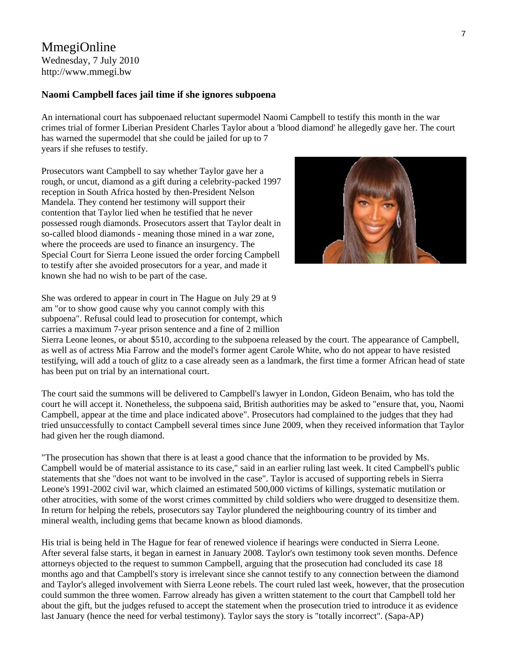# MmegiOnline Wednesday, 7 July 2010 [http://www.mmegi.bw](http://www.mmegi.bw/)

#### **Naomi Campbell faces jail time if she ignores subpoena**

An international court has subpoenaed reluctant supermodel Naomi Campbell to testify this month in the war crimes trial of former Liberian President Charles Taylor about a 'blood diamond' he allegedly gave her. The court has warned the supermodel that she could be jailed for up to 7 years if she refuses to testify.

Prosecutors want Campbell to say whether Taylor gave her a rough, or uncut, diamond as a gift during a celebrity-packed 1997 reception in South Africa hosted by then-President Nelson Mandela. They contend her testimony will support their contention that Taylor lied when he testified that he never possessed rough diamonds. Prosecutors assert that Taylor dealt in so-called blood diamonds - meaning those mined in a war zone, where the proceeds are used to finance an insurgency. The Special Court for Sierra Leone issued the order forcing Campbell to testify after she avoided prosecutors for a year, and made it known she had no wish to be part of the case.



She was ordered to appear in court in The Hague on July 29 at 9 am "or to show good cause why you cannot comply with this subpoena". Refusal could lead to prosecution for contempt, w hich carries a maximum 7-year prison sentence and a fine of 2 million

Sierra Leone leones, or about \$510, according to the subpoena released by the court. The appearance of Campbe ll, as well as of actress Mia Farrow and the model's former agent Carole White, who do not appear to have resisted testifying, will add a touch of glitz to a case already seen as a landmark, the first time a former African head of state has been put on trial by an international court.

The court said the summons will be delivered to Campbell's lawyer in London, Gideon Benaim, who has told the court he will accept it. Nonetheless, the subpoena said, British authorities may be asked to "ensure that, you, Naomi Campbell, appear at the time and place indicated above". Prosecutors had complained to the judges that they had tried unsuccessfully to contact Campbell several times since June 2009, when they received information that Taylor had given her the rough diamond.

"The prosecution has shown that there is at least a good chance that the information to be provided by Ms. Campbell would be of material assistance to its case," said in an earlier ruling last week. It cited Campbell's public statements that she "does not want to be involved in the case". Taylor is accused of supporting rebels in Sierra Leone's 1991-2002 civil war, which claimed an estimated 500,000 victims of killings, systematic mutilation or other atrocities, with some of the worst crimes committed by child soldiers who were drugged to desensitize them. In return for helping the rebels, prosecutors say Taylor plundered the neighbouring country of its timber and mineral wealth, including gems that became known as blood diamonds.

His trial is being held in The Hague for fear of renewed violence if hearings were conducted in Sierra Leone. After several false starts, it began in earnest in January 2008. Taylor's own testimony took seven months. Defence attorneys objected to the request to summon Campbell, arguing that the prosecution had concluded its case 18 months ago and that Campbell's story is irrelevant since she cannot testify to any connection between the diamond and Taylor's alleged involvement with Sierra Leone rebels. The court ruled last week, however, that the prosecution could summon the three women. Farrow already has given a written statement to the court that Campbell told her about the gift, but the judges refused to accept the statement when the prosecution tried to introduce it as evidence last January (hence the need for verbal testimony). Taylor says the story is "totally incorrect". (Sapa-AP)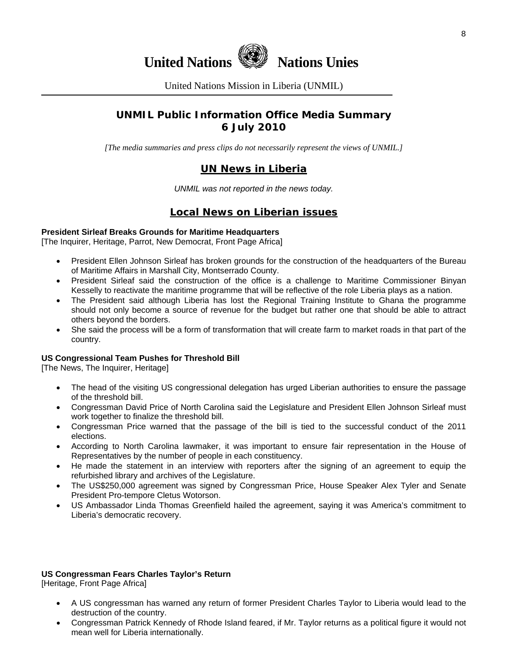

United Nations Mission in Liberia (UNMIL)

# **UNMIL Public Information Office Media Summary 6 July 2010**

*[The media summaries and press clips do not necessarily represent the views of UNMIL.]* 

# **UN News in Liberia**

*UNMIL was not reported in the news today.* 

### **Local News on Liberian issues**

#### **President Sirleaf Breaks Grounds for Maritime Headquarters**

[The Inquirer, Heritage, Parrot, New Democrat, Front Page Africa]

- President Ellen Johnson Sirleaf has broken grounds for the construction of the headquarters of the Bureau of Maritime Affairs in Marshall City, Montserrado County.
- President Sirleaf said the construction of the office is a challenge to Maritime Commissioner Binyan Kesselly to reactivate the maritime programme that will be reflective of the role Liberia plays as a nation.
- The President said although Liberia has lost the Regional Training Institute to Ghana the programme should not only become a source of revenue for the budget but rather one that should be able to attract others beyond the borders.
- She said the process will be a form of transformation that will create farm to market roads in that part of the country.

#### **US Congressional Team Pushes for Threshold Bill**

[The News, The Inquirer, Heritage]

- The head of the visiting US congressional delegation has urged Liberian authorities to ensure the passage of the threshold bill.
- Congressman David Price of North Carolina said the Legislature and President Ellen Johnson Sirleaf must work together to finalize the threshold bill.
- Congressman Price warned that the passage of the bill is tied to the successful conduct of the 2011 elections.
- According to North Carolina lawmaker, it was important to ensure fair representation in the House of Representatives by the number of people in each constituency.
- He made the statement in an interview with reporters after the signing of an agreement to equip the refurbished library and archives of the Legislature.
- The US\$250,000 agreement was signed by Congressman Price, House Speaker Alex Tyler and Senate President Pro-tempore Cletus Wotorson.
- US Ambassador Linda Thomas Greenfield hailed the agreement, saying it was America's commitment to Liberia's democratic recovery.

#### **US Congressman Fears Charles Taylor's Return**

[Heritage, Front Page Africa]

- A US congressman has warned any return of former President Charles Taylor to Liberia would lead to the destruction of the country.
- Congressman Patrick Kennedy of Rhode Island feared, if Mr. Taylor returns as a political figure it would not mean well for Liberia internationally.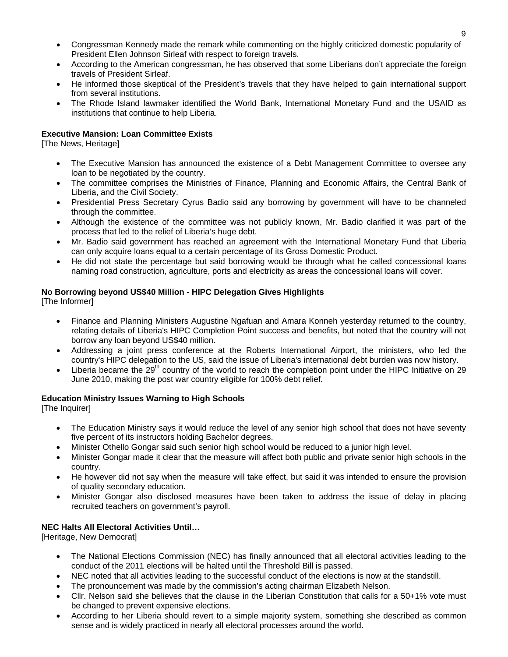- Congressman Kennedy made the remark while commenting on the highly criticized domestic popularity of President Ellen Johnson Sirleaf with respect to foreign travels.
- According to the American congressman, he has observed that some Liberians don't appreciate the foreign travels of President Sirleaf.
- He informed those skeptical of the President's travels that they have helped to gain international support from several institutions.
- The Rhode Island lawmaker identified the World Bank, International Monetary Fund and the USAID as institutions that continue to help Liberia.

#### **Executive Mansion: Loan Committee Exists**

[The News, Heritage]

- The Executive Mansion has announced the existence of a Debt Management Committee to oversee any loan to be negotiated by the country.
- The committee comprises the Ministries of Finance, Planning and Economic Affairs, the Central Bank of Liberia, and the Civil Society.
- Presidential Press Secretary Cyrus Badio said any borrowing by government will have to be channeled through the committee.
- Although the existence of the committee was not publicly known, Mr. Badio clarified it was part of the process that led to the relief of Liberia's huge debt.
- Mr. Badio said government has reached an agreement with the International Monetary Fund that Liberia can only acquire loans equal to a certain percentage of its Gross Domestic Product.
- He did not state the percentage but said borrowing would be through what he called concessional loans naming road construction, agriculture, ports and electricity as areas the concessional loans will cover.

#### **No Borrowing beyond US\$40 Million - HIPC Delegation Gives Highlights**

[The Informer]

- Finance and Planning Ministers Augustine Ngafuan and Amara Konneh yesterday returned to the country, relating details of Liberia's HIPC Completion Point success and benefits, but noted that the country will not borrow any loan beyond US\$40 million.
- Addressing a joint press conference at the Roberts International Airport, the ministers, who led the country's HIPC delegation to the US, said the issue of Liberia's international debt burden was now history.
- Liberia became the 29<sup>th</sup> country of the world to reach the completion point under the HIPC Initiative on 29 June 2010, making the post war country eligible for 100% debt relief.

#### **Education Ministry Issues Warning to High Schools**

[The Inquirer]

- The Education Ministry says it would reduce the level of any senior high school that does not have seventy five percent of its instructors holding Bachelor degrees.
- Minister Othello Gongar said such senior high school would be reduced to a junior high level.
- Minister Gongar made it clear that the measure will affect both public and private senior high schools in the country.
- He however did not say when the measure will take effect, but said it was intended to ensure the provision of quality secondary education.
- Minister Gongar also disclosed measures have been taken to address the issue of delay in placing recruited teachers on government's payroll.

#### **NEC Halts All Electoral Activities Until…**

[Heritage, New Democrat]

- The National Elections Commission (NEC) has finally announced that all electoral activities leading to the conduct of the 2011 elections will be halted until the Threshold Bill is passed.
- NEC noted that all activities leading to the successful conduct of the elections is now at the standstill.
- The pronouncement was made by the commission's acting chairman Elizabeth Nelson.
- Cllr. Nelson said she believes that the clause in the Liberian Constitution that calls for a 50+1% vote must be changed to prevent expensive elections.
- According to her Liberia should revert to a simple majority system, something she described as common sense and is widely practiced in nearly all electoral processes around the world.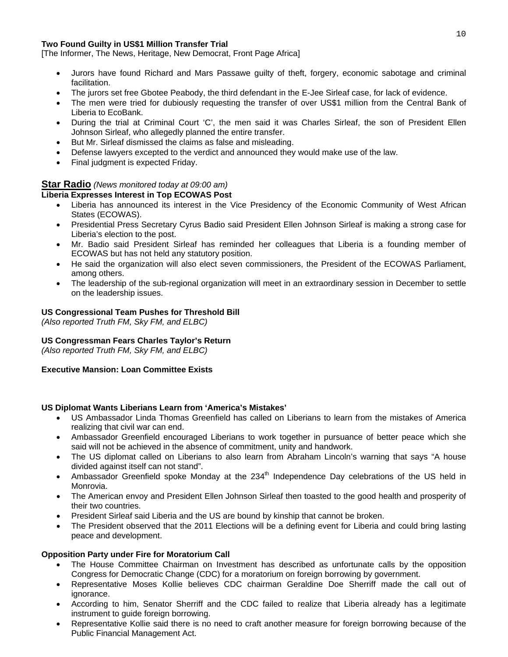#### **Two Found Guilty in US\$1 Million Transfer Trial**

[The Informer, The News, Heritage, New Democrat, Front Page Africa]

- Jurors have found Richard and Mars Passawe guilty of theft, forgery, economic sabotage and criminal facilitation.
- The jurors set free Gbotee Peabody, the third defendant in the E-Jee Sirleaf case, for lack of evidence.
- The men were tried for dubiously requesting the transfer of over US\$1 million from the Central Bank of Liberia to EcoBank.
- During the trial at Criminal Court 'C', the men said it was Charles Sirleaf, the son of President Ellen Johnson Sirleaf, who allegedly planned the entire transfer.
- But Mr. Sirleaf dismissed the claims as false and misleading.
- Defense lawyers excepted to the verdict and announced they would make use of the law.
- Final judgment is expected Friday.

#### **Star Radio** *(News monitored today at 09:00 am)*

#### **Liberia Expresses Interest in Top ECOWAS Post**

- Liberia has announced its interest in the Vice Presidency of the Economic Community of West African States (ECOWAS).
- Presidential Press Secretary Cyrus Badio said President Ellen Johnson Sirleaf is making a strong case for Liberia's election to the post.
- Mr. Badio said President Sirleaf has reminded her colleagues that Liberia is a founding member of ECOWAS but has not held any statutory position.
- He said the organization will also elect seven commissioners, the President of the ECOWAS Parliament, among others.
- The leadership of the sub-regional organization will meet in an extraordinary session in December to settle on the leadership issues.

#### **US Congressional Team Pushes for Threshold Bill**

*(Also reported Truth FM, Sky FM, and ELBC)* 

#### **US Congressman Fears Charles Taylor's Return**

*(Also reported Truth FM, Sky FM, and ELBC)* 

#### **Executive Mansion: Loan Committee Exists**

#### **US Diplomat Wants Liberians Learn from 'America's Mistakes'**

- US Ambassador Linda Thomas Greenfield has called on Liberians to learn from the mistakes of America realizing that civil war can end.
- Ambassador Greenfield encouraged Liberians to work together in pursuance of better peace which she said will not be achieved in the absence of commitment, unity and handwork.
- The US diplomat called on Liberians to also learn from Abraham Lincoln's warning that says "A house divided against itself can not stand".
- Ambassador Greenfield spoke Monday at the  $234<sup>th</sup>$  Independence Day celebrations of the US held in Monrovia.
- The American envoy and President Ellen Johnson Sirleaf then toasted to the good health and prosperity of their two countries.
- President Sirleaf said Liberia and the US are bound by kinship that cannot be broken.
- The President observed that the 2011 Elections will be a defining event for Liberia and could bring lasting peace and development.

#### **Opposition Party under Fire for Moratorium Call**

- The House Committee Chairman on Investment has described as unfortunate calls by the opposition Congress for Democratic Change (CDC) for a moratorium on foreign borrowing by government.
- Representative Moses Kollie believes CDC chairman Geraldine Doe Sherriff made the call out of ignorance.
- According to him, Senator Sherriff and the CDC failed to realize that Liberia already has a legitimate instrument to guide foreign borrowing.
- Representative Kollie said there is no need to craft another measure for foreign borrowing because of the Public Financial Management Act.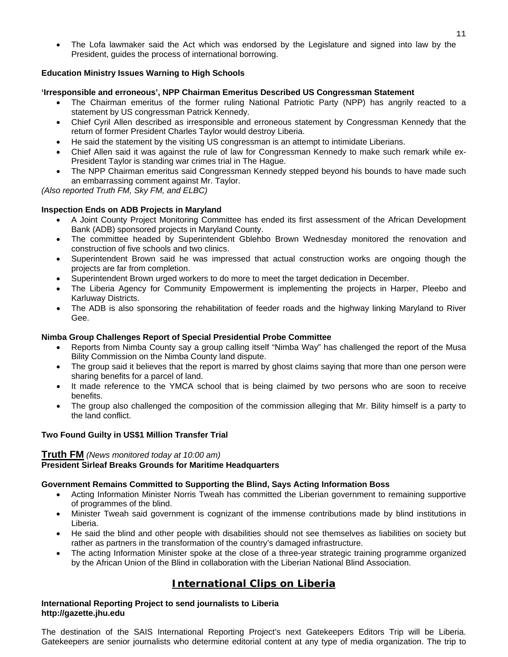• The Lofa lawmaker said the Act which was endorsed by the Legislature and signed into law by the President, guides the process of international borrowing.

#### **Education Ministry Issues Warning to High Schools**

#### **'Irresponsible and erroneous', NPP Chairman Emeritus Described US Congressman Statement**

- The Chairman emeritus of the former ruling National Patriotic Party (NPP) has angrily reacted to a statement by US congressman Patrick Kennedy.
- Chief Cyril Allen described as irresponsible and erroneous statement by Congressman Kennedy that the return of former President Charles Taylor would destroy Liberia.
- He said the statement by the visiting US congressman is an attempt to intimidate Liberians.
- Chief Allen said it was against the rule of law for Congressman Kennedy to make such remark while ex-President Taylor is standing war crimes trial in The Hague.
- The NPP Chairman emeritus said Congressman Kennedy stepped beyond his bounds to have made such an embarrassing comment against Mr. Taylor.

*(Also reported Truth FM, Sky FM, and ELBC)* 

#### **Inspection Ends on ADB Projects in Maryland**

- A Joint County Project Monitoring Committee has ended its first assessment of the African Development Bank (ADB) sponsored projects in Maryland County.
- The committee headed by Superintendent Gblehbo Brown Wednesday monitored the renovation and construction of five schools and two clinics.
- Superintendent Brown said he was impressed that actual construction works are ongoing though the projects are far from completion.
- Superintendent Brown urged workers to do more to meet the target dedication in December.
- The Liberia Agency for Community Empowerment is implementing the projects in Harper, Pleebo and Karluway Districts.
- The ADB is also sponsoring the rehabilitation of feeder roads and the highway linking Maryland to River Gee.

#### **Nimba Group Challenges Report of Special Presidential Probe Committee**

- Reports from Nimba County say a group calling itself "Nimba Way" has challenged the report of the Musa Bility Commission on the Nimba County land dispute.
- The group said it believes that the report is marred by ghost claims saying that more than one person were sharing benefits for a parcel of land.
- It made reference to the YMCA school that is being claimed by two persons who are soon to receive benefits.
- The group also challenged the composition of the commission alleging that Mr. Bility himself is a party to the land conflict.

#### **Two Found Guilty in US\$1 Million Transfer Trial**

#### **Truth FM** *(News monitored today at 10:00 am)* **President Sirleaf Breaks Grounds for Maritime Headquarters**

#### **Government Remains Committed to Supporting the Blind, Says Acting Information Boss**

- Acting Information Minister Norris Tweah has committed the Liberian government to remaining supportive of programmes of the blind.
- Minister Tweah said government is cognizant of the immense contributions made by blind institutions in Liberia.
- He said the blind and other people with disabilities should not see themselves as liabilities on society but rather as partners in the transformation of the country's damaged infrastructure.
- The acting Information Minister spoke at the close of a three-year strategic training programme organized by the African Union of the Blind in collaboration with the Liberian National Blind Association.

# **International Clips on Liberia**

#### **International Reporting Project to send journalists to Liberia http://gazette.jhu.edu**

The destination of the SAIS International Reporting Project's next Gatekeepers Editors Trip will be Liberia. Gatekeepers are senior journalists who determine editorial content at any type of media organization. The trip to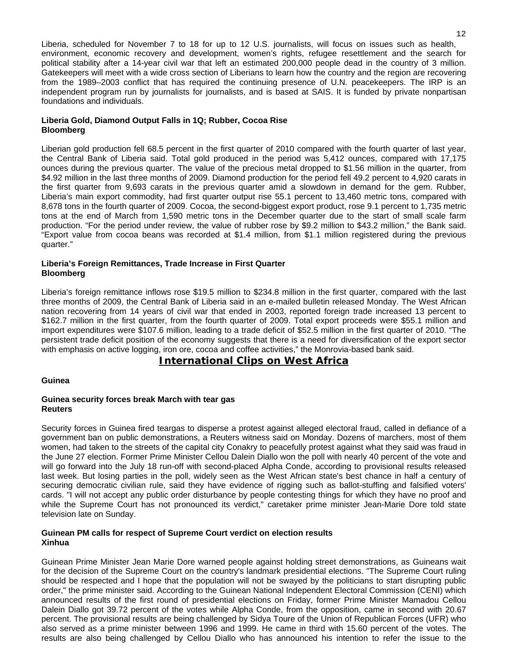Liberia, scheduled for November 7 to 18 for up to 12 U.S. journalists, will focus on issues such as health, environment, economic recovery and development, women's rights, refugee resettlement and the search for political stability after a 14-year civil war that left an estimated 200,000 people dead in the country of 3 million. Gatekeepers will meet with a wide cross section of Liberians to learn how the country and the region are recovering from the 1989–2003 conflict that has required the continuing presence of U.N. peacekeepers. The IRP is an independent program run by journalists for journalists, and is based at SAIS. It is funded by private nonpartisan foundations and individuals.

#### **Liberia Gold, Diamond Output Falls in 1Q; Rubber, Cocoa Rise Bloomberg**

Liberian gold production fell 68.5 percent in the first quarter of 2010 compared with the fourth quarter of last year, the Central Bank of Liberia said. Total gold produced in the period was 5,412 ounces, compared with 17,175 ounces during the previous quarter. The value of the precious metal dropped to \$1.56 million in the quarter, from \$4.92 million in the last three months of 2009. Diamond production for the period fell 49.2 percent to 4,920 carats in the first quarter from 9,693 carats in the previous quarter amid a slowdown in demand for the gem. Rubber, Liberia's main export commodity, had first quarter output rise 55.1 percent to 13,460 metric tons, compared with 8,678 tons in the fourth quarter of 2009. Cocoa, the second-biggest export product, rose 9.1 percent to 1,735 metric tons at the end of March from 1,590 metric tons in the December quarter due to the start of small scale farm production. "For the period under review, the value of rubber rose by \$9.2 million to \$43.2 million," the Bank said. "Export value from cocoa beans was recorded at \$1.4 million, from \$1.1 million registered during the previous quarter."

#### **Liberia's Foreign Remittances, Trade Increase in First Quarter Bloomberg**

Liberia's foreign remittance inflows rose \$19.5 million to \$234.8 million in the first quarter, compared with the last three months of 2009, the Central Bank of Liberia said in an e-mailed bulletin released Monday. The West African nation recovering from 14 years of civil war that ended in 2003, reported foreign trade increased 13 percent to \$162.7 million in the first quarter, from the fourth quarter of 2009. Total export proceeds were \$55.1 million and import expenditures were \$107.6 million, leading to a trade deficit of \$52.5 million in the first quarter of 2010. "The persistent trade deficit position of the economy suggests that there is a need for diversification of the export sector with emphasis on active logging, iron ore, cocoa and coffee activities," the Monrovia-based bank said.

# **International Clips on West Africa**

#### **Guinea**

#### **Guinea security forces break March with tear gas Reuters**

Security forces in Guinea fired teargas to disperse a protest against alleged electoral fraud, called in defiance of a government ban on public demonstrations, a Reuters witness said on Monday. Dozens of marchers, most of them women, had taken to the streets of the capital city Conakry to peacefully protest against what they said was fraud in the June 27 election. Former Prime Minister Cellou Dalein Diallo won the poll with nearly 40 percent of the vote and will go forward into the July 18 run-off with second-placed Alpha Conde, according to provisional results released last week. But losing parties in the poll, widely seen as the West African state's best chance in half a century of securing democratic civilian rule, said they have evidence of rigging such as ballot-stuffing and falsified voters' cards. "I will not accept any public order disturbance by people contesting things for which they have no proof and while the Supreme Court has not pronounced its verdict," caretaker prime minister Jean-Marie Dore told state television late on Sunday.

#### **Guinean PM calls for respect of Supreme Court verdict on election results Xinhua**

Guinean Prime Minister Jean Marie Dore warned people against holding street demonstrations, as Guineans wait for the decision of the Supreme Court on the country's landmark presidential elections. "The Supreme Court ruling should be respected and I hope that the population will not be swayed by the politicians to start disrupting public order," the prime minister said. According to the Guinean National Independent Electoral Commission (CENI) which announced results of the first round of presidential elections on Friday, former Prime Minister Mamadou Cellou Dalein Diallo got 39.72 percent of the votes while Alpha Conde, from the opposition, came in second with 20.67 percent. The provisional results are being challenged by Sidya Toure of the Union of Republican Forces (UFR) who also served as a prime minister between 1996 and 1999. He came in third with 15.60 percent of the votes. The results are also being challenged by Cellou Diallo who has announced his intention to refer the issue to the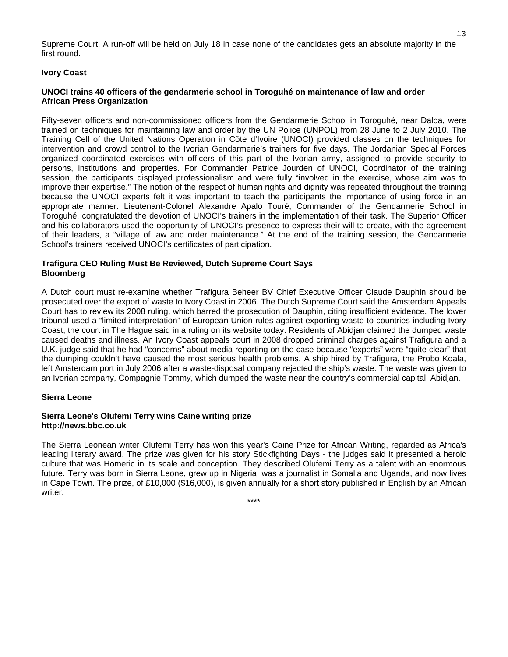Supreme Court. A run-off will be held on July 18 in case none of the candidates gets an absolute majority in the first round.

#### **Ivory Coast**

#### **UNOCI trains 40 officers of the gendarmerie school in Toroguhé on maintenance of law and order African Press Organization**

Fifty-seven officers and non-commissioned officers from the Gendarmerie School in Toroguhé, near Daloa, were trained on techniques for maintaining law and order by the UN Police (UNPOL) from 28 June to 2 July 2010. The Training Cell of the United Nations Operation in Côte d'Ivoire (UNOCI) provided classes on the techniques for intervention and crowd control to the Ivorian Gendarmerie's trainers for five days. The Jordanian Special Forces organized coordinated exercises with officers of this part of the Ivorian army, assigned to provide security to persons, institutions and properties. For Commander Patrice Jourden of UNOCI, Coordinator of the training session, the participants displayed professionalism and were fully "involved in the exercise, whose aim was to improve their expertise." The notion of the respect of human rights and dignity was repeated throughout the training because the UNOCI experts felt it was important to teach the participants the importance of using force in an appropriate manner. Lieutenant-Colonel Alexandre Apalo Touré, Commander of the Gendarmerie School in Toroguhé, congratulated the devotion of UNOCI's trainers in the implementation of their task. The Superior Officer and his collaborators used the opportunity of UNOCI's presence to express their will to create, with the agreement of their leaders, a "village of law and order maintenance." At the end of the training session, the Gendarmerie School's trainers received UNOCI's certificates of participation.

#### **Trafigura CEO Ruling Must Be Reviewed, Dutch Supreme Court Says Bloomberg**

A Dutch court must re-examine whether Trafigura Beheer BV Chief Executive Officer Claude Dauphin should be prosecuted over the export of waste to Ivory Coast in 2006. The Dutch Supreme Court said the Amsterdam Appeals Court has to review its 2008 ruling, which barred the prosecution of Dauphin, citing insufficient evidence. The lower tribunal used a "limited interpretation" of European Union rules against exporting waste to countries including Ivory Coast, the court in The Hague said in a ruling on its website today. Residents of Abidjan claimed the dumped waste caused deaths and illness. An Ivory Coast appeals court in 2008 dropped criminal charges against Trafigura and a U.K. judge said that he had "concerns" about media reporting on the case because "experts" were "quite clear" that the dumping couldn't have caused the most serious health problems. A ship hired by Trafigura, the Probo Koala, left Amsterdam port in July 2006 after a waste-disposal company rejected the ship's waste. The waste was given to an Ivorian company, Compagnie Tommy, which dumped the waste near the country's commercial capital, Abidjan.

#### **Sierra Leone**

#### **Sierra Leone's Olufemi Terry wins Caine writing prize http://news.bbc.co.uk**

The Sierra Leonean writer Olufemi Terry has won this year's Caine Prize for African Writing, regarded as Africa's leading literary award. The prize was given for his story Stickfighting Days - the judges said it presented a heroic culture that was Homeric in its scale and conception. They described Olufemi Terry as a talent with an enormous future. Terry was born in Sierra Leone, grew up in Nigeria, was a journalist in Somalia and Uganda, and now lives in Cape Town. The prize, of £10,000 (\$16,000), is given annually for a short story published in English by an African writer.

\*\*\*\*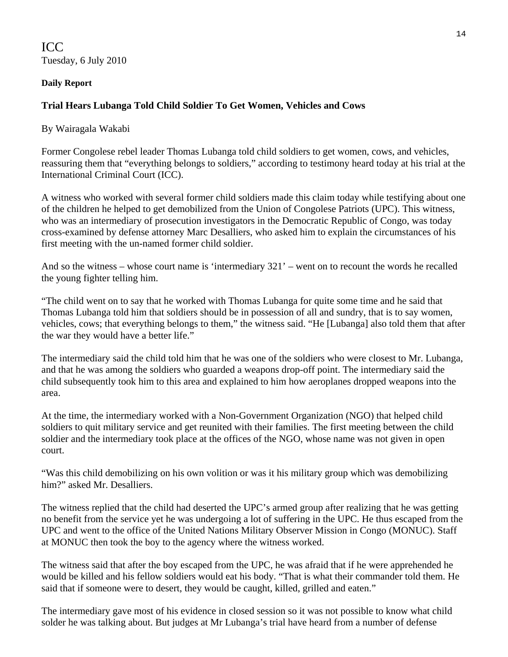ICC Tuesday, 6 July 2010

## **Daily Report**

# **Trial Hears Lubanga Told Child Soldier To Get Women, Vehicles and Cows**

By [Wairagala Wakabi](http://www.lubangatrial.org/contributors#11) 

Former Congolese rebel leader Thomas Lubanga told child soldiers to get women, cows, and vehicles, reassuring them that "everything belongs to soldiers," according to testimony heard today at his trial at the International Criminal Court (ICC).

A witness who worked with several former child soldiers made this claim today while testifying about one of the children he helped to get demobilized from the Union of Congolese Patriots (UPC). This witness, who was an intermediary of prosecution investigators in the Democratic Republic of Congo, was today cross-examined by defense attorney Marc Desalliers, who asked him to explain the circumstances of his first meeting with the un-named former child soldier.

And so the witness – whose court name is 'intermediary 321' – went on to recount the words he recalled the young fighter telling him.

"The child went on to say that he worked with Thomas Lubanga for quite some time and he said that Thomas Lubanga told him that soldiers should be in possession of all and sundry, that is to say women, vehicles, cows; that everything belongs to them," the witness said. "He [Lubanga] also told them that after the war they would have a better life."

The intermediary said the child told him that he was one of the soldiers who were closest to Mr. Lubanga, and that he was among the soldiers who guarded a weapons drop-off point. The intermediary said the child subsequently took him to this area and explained to him how aeroplanes dropped weapons into the area.

At the time, the intermediary worked with a Non-Government Organization (NGO) that helped child soldiers to quit military service and get reunited with their families. The first meeting between the child soldier and the intermediary took place at the offices of the NGO, whose name was not given in open court.

"Was this child demobilizing on his own volition or was it his military group which was demobilizing him?" asked Mr. Desalliers.

The witness replied that the child had deserted the UPC's armed group after realizing that he was getting no benefit from the service yet he was undergoing a lot of suffering in the UPC. He thus escaped from the UPC and went to the office of the United Nations Military Observer Mission in Congo (MONUC). Staff at MONUC then took the boy to the agency where the witness worked.

The witness said that after the boy escaped from the UPC, he was afraid that if he were apprehended he would be killed and his fellow soldiers would eat his body. "That is what their commander told them. He said that if someone were to desert, they would be caught, killed, grilled and eaten."

The intermediary gave most of his evidence in closed session so it was not possible to know what child solder he was talking about. But judges at Mr Lubanga's trial have heard from a number of defense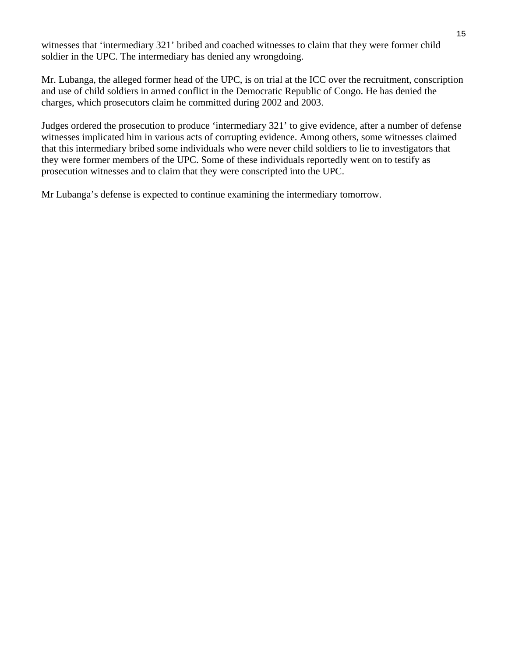witnesses that 'intermediary 321' bribed and coached witnesses to claim that they were former child soldier in the UPC. The intermediary has denied any wrongdoing.

Mr. Lubanga, the alleged former head of the UPC, is on trial at the ICC over the recruitment, conscription and use of child soldiers in armed conflict in the Democratic Republic of Congo. He has denied the charges, which prosecutors claim he committed during 2002 and 2003.

Judges ordered the prosecution to produce 'intermediary 321' to give evidence, after a number of defense witnesses implicated him in various acts of corrupting evidence. Among others, some witnesses claimed that this intermediary bribed some individuals who were never child soldiers to lie to investigators that they were former members of the UPC. Some of these individuals reportedly went on to testify as prosecution witnesses and to claim that they were conscripted into the UPC.

Mr Lubanga's defense is expected to continue examining the intermediary tomorrow.